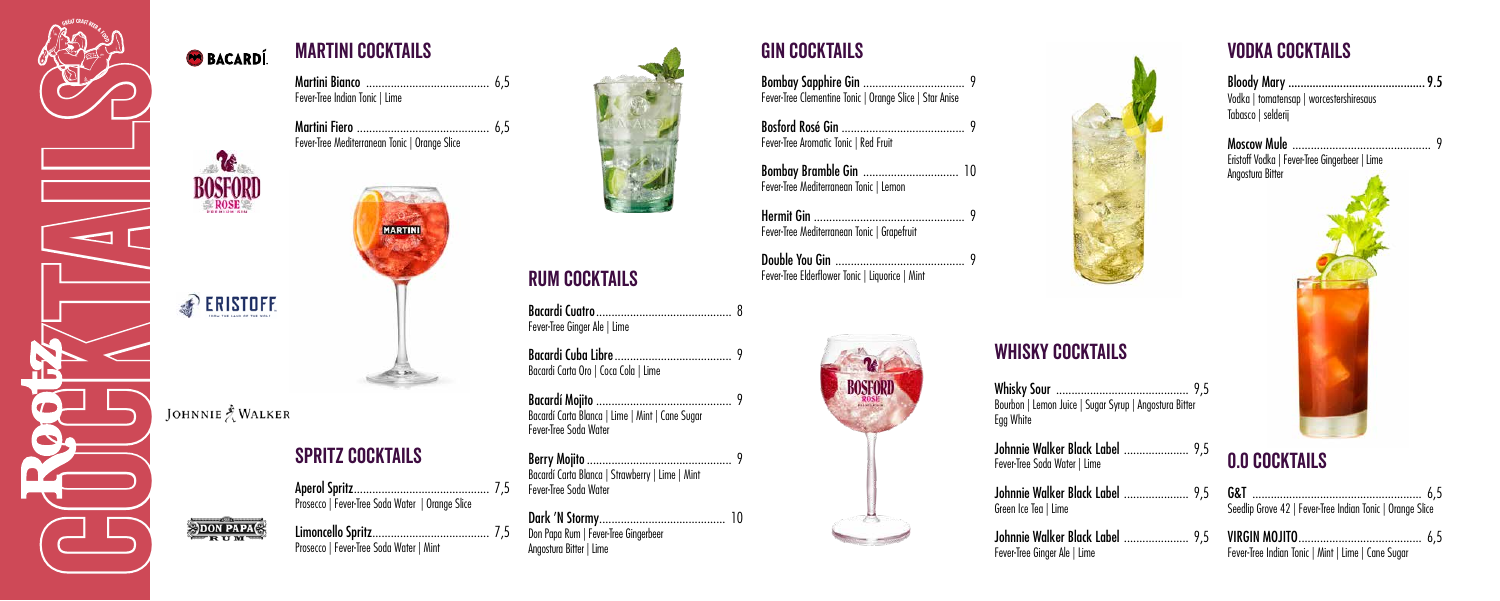

## **BACARDÍ**



**PERISTOFF** 

#### JOHNNIE NALKER

**SDON PAPACE** 

martini cocktails

Martini Bianco ........................................ 6,5

Fever-Tree Indian Tonic | Lime

Martini Fiero ........................................... 6,5

**MARTINI** 

Limoncello Spritz...................................... 7,5 Prosecco | Fever-Tree Soda Water | Mint



Fever-Tree Mediterranean Tonic | Orange Slice

## spritz cocktails

Aperol Spritz............................................ 7,5 Prosecco | Fever-Tree Soda Water | Orange Slice

# Rum cocktails

Bacardi Cuatro............................................ 8 Fever-Tree Ginger Ale | Lime

Bacardi Cuba Libre...................................... 9 Bacardi Carta Oro | Coca Cola | Lime

Bacardí Mojito ............................................ 9 Bacardí Carta Blanca | Lime | Mint | Cane Sugar Fever-Tree Soda Water

Berry Mojito............................................... 9 Bacardí Carta Blanca | Strawberry | Lime | Mint Fever-Tree Soda Water

Dark 'N Stormy......................................... 10 Don Papa Rum | Fever-Tree Gingerbeer Angostura Bitter | Lime



#### Gin cocktails

Bombay Sapphire Gin ................................. 9 Fever-Tree Clementine Tonic | Orange Slice | Star Anise

Bosford Rosé Gin ........................................ 9 Fever-Tree Aromatic Tonic | Red Fruit

Bombay Bramble Gin ............................... 10 Fever-Tree Mediterranean Tonic | Lemon

Hermit Gin ................................................. 9 Fever-Tree Mediterranean Tonic | Grapefruit

Double You Gin .......................................... 9 Fever-Tree Elderflower Tonic | Liquorice | Mint





## WHISKY COCKTAILS

Whisky Sour ........................................... 9,5 Bourbon | Lemon Juice | Sugar Syrup | Angostura Bitter Egg White

Johnnie Walker Black Label ..................... 9,5 Fever-Tree Soda Water | Lime

Johnnie Walker Black Label ..................... 9,5 Green Ice Tea | Lime

Johnnie Walker Black Label ..................... 9,5 Fever-Tree Ginger Ale | Lime

## Vodka cocktails

| Vodka   tomatensap   worcestershiresaus<br>Tabasco   selderij |  |
|---------------------------------------------------------------|--|
|                                                               |  |

Moscow Mule ............................................. 9 Eristoff Vodka | Fever-Tree Gingerbeer | Lime Angostura Bitter



# 0.0 cocktails

| Seedlip Grove 42   Fever-Tree Indian Tonic   Orange Slice |  |
|-----------------------------------------------------------|--|

| Fever-Tree Indian Tonic   Mint   Lime   Cane Sugar |  |  |  |  |  |
|----------------------------------------------------|--|--|--|--|--|